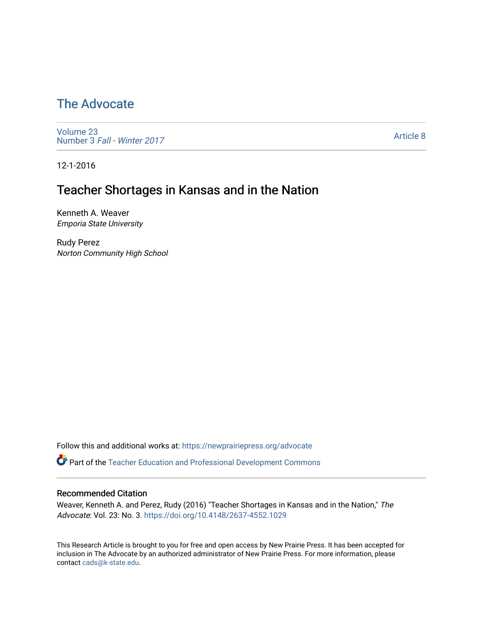# [The Advocate](https://newprairiepress.org/advocate)

[Volume 23](https://newprairiepress.org/advocate/vol23) Number 3 [Fall - Winter 2017](https://newprairiepress.org/advocate/vol23/iss3) 

[Article 8](https://newprairiepress.org/advocate/vol23/iss3/8) 

12-1-2016

# Teacher Shortages in Kansas and in the Nation

Kenneth A. Weaver Emporia State University

Rudy Perez Norton Community High School

Follow this and additional works at: [https://newprairiepress.org/advocate](https://newprairiepress.org/advocate?utm_source=newprairiepress.org%2Fadvocate%2Fvol23%2Fiss3%2F8&utm_medium=PDF&utm_campaign=PDFCoverPages) 

Part of the [Teacher Education and Professional Development Commons](http://network.bepress.com/hgg/discipline/803?utm_source=newprairiepress.org%2Fadvocate%2Fvol23%2Fiss3%2F8&utm_medium=PDF&utm_campaign=PDFCoverPages) 

#### Recommended Citation

Weaver, Kenneth A. and Perez, Rudy (2016) "Teacher Shortages in Kansas and in the Nation," The Advocate: Vol. 23: No. 3. <https://doi.org/10.4148/2637-4552.1029>

This Research Article is brought to you for free and open access by New Prairie Press. It has been accepted for inclusion in The Advocate by an authorized administrator of New Prairie Press. For more information, please contact [cads@k-state.edu](mailto:cads@k-state.edu).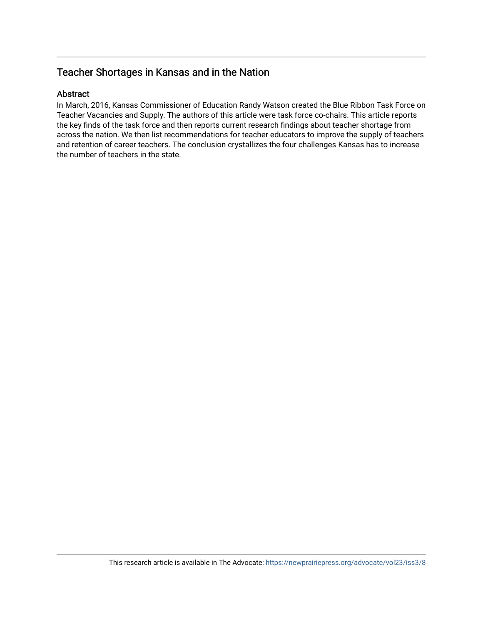# Teacher Shortages in Kansas and in the Nation

#### Abstract

In March, 2016, Kansas Commissioner of Education Randy Watson created the Blue Ribbon Task Force on Teacher Vacancies and Supply. The authors of this article were task force co-chairs. This article reports the key finds of the task force and then reports current research findings about teacher shortage from across the nation. We then list recommendations for teacher educators to improve the supply of teachers and retention of career teachers. The conclusion crystallizes the four challenges Kansas has to increase the number of teachers in the state.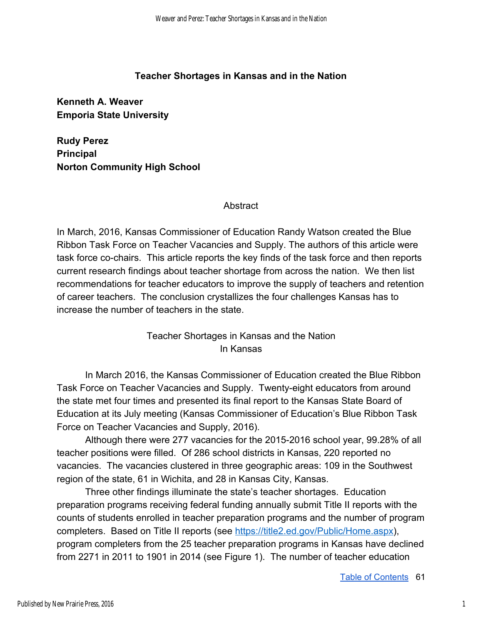### **Teacher Shortages in Kansas and in the Nation**

**Kenneth A. Weaver Emporia State University** 

**Rudy Perez Principal Norton Community High School** 

#### **Abstract**

In March, 2016, Kansas Commissioner of Education Randy Watson created the Blue Ribbon Task Force on Teacher Vacancies and Supply. The authors of this article were task force co-chairs. This article reports the key finds of the task force and then reports current research findings about teacher shortage from across the nation. We then list recommendations for teacher educators to improve the supply of teachers and retention of career teachers. The conclusion crystallizes the four challenges Kansas has to increase the number of teachers in the state.

# Teacher Shortages in Kansas and the Nation In Kansas

In March 2016, the Kansas Commissioner of Education created the Blue Ribbon Task Force on Teacher Vacancies and Supply. Twenty-eight educators from around the state met four times and presented its final report to the Kansas State Board of Education at its July meeting (Kansas Commissioner of Education's Blue Ribbon Task Force on Teacher Vacancies and Supply, 2016).

Although there were 277 vacancies for the 2015-2016 school year, 99.28% of all teacher positions were filled. Of 286 school districts in Kansas, 220 reported no vacancies. The vacancies clustered in three geographic areas: 109 in the Southwest region of the state, 61 in Wichita, and 28 in Kansas City, Kansas.

Three other findings illuminate the state's teacher shortages. Education preparation programs receiving federal funding annually submit Title II reports with the counts of students enrolled in teacher preparation programs and the number of program completers. Based on Title II reports (see [https://title2.ed.gov/Public/Home.aspx\)](https://title2.ed.gov/Public/Home.aspx), program completers from the 25 teacher preparation programs in Kansas have declined from 2271 in 2011 to 1901 in 2014 (see Figure 1). The number of teacher education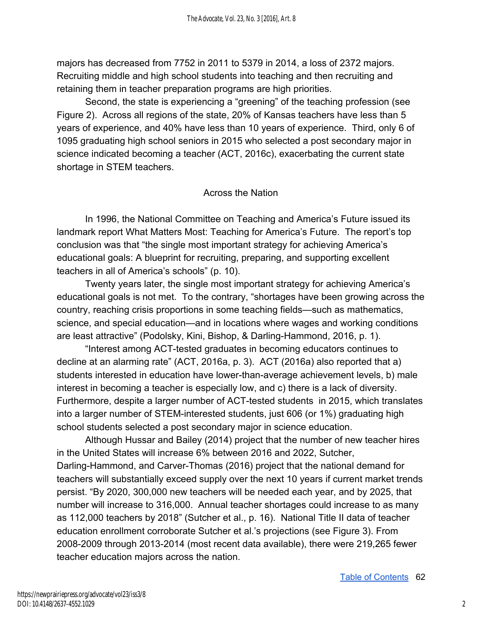majors has decreased from 7752 in 2011 to 5379 in 2014, a loss of 2372 majors. Recruiting middle and high school students into teaching and then recruiting and retaining them in teacher preparation programs are high priorities.

Second, the state is experiencing a "greening" of the teaching profession (see Figure 2). Across all regions of the state, 20% of Kansas teachers have less than 5 years of experience, and 40% have less than 10 years of experience. Third, only 6 of 1095 graduating high school seniors in 2015 who selected a post secondary major in science indicated becoming a teacher (ACT, 2016c), exacerbating the current state shortage in STEM teachers.

### Across the Nation

In 1996, the National Committee on Teaching and America's Future issued its landmark report What Matters Most: Teaching for America's Future. The report's top conclusion was that "the single most important strategy for achieving America's educational goals: A blueprint for recruiting, preparing, and supporting excellent teachers in all of America's schools" (p. 10).

Twenty years later, the single most important strategy for achieving America's educational goals is not met. To the contrary, "shortages have been growing across the country, reaching crisis proportions in some teaching fields—such as mathematics, science, and special education—and in locations where wages and working conditions are least attractive" (Podolsky, Kini, Bishop, & Darling-Hammond, 2016, p. 1).

"Interest among ACT-tested graduates in becoming educators continues to decline at an alarming rate" (ACT, 2016a, p. 3). ACT (2016a) also reported that a) students interested in education have lower-than-average achievement levels, b) male interest in becoming a teacher is especially low, and c) there is a lack of diversity. Furthermore, despite a larger number of ACT-tested students in 2015, which translates into a larger number of STEM-interested students, just 606 (or 1%) graduating high school students selected a post secondary major in science education.

Although Hussar and Bailey (2014) project that the number of new teacher hires in the United States will increase 6% between 2016 and 2022, Sutcher, Darling-Hammond, and Carver-Thomas (2016) project that the national demand for teachers will substantially exceed supply over the next 10 years if current market trends persist. "By 2020, 300,000 new teachers will be needed each year, and by 2025, that number will increase to 316,000. Annual teacher shortages could increase to as many as 112,000 teachers by 2018" (Sutcher et al., p. 16). National Title II data of teacher education enrollment corroborate Sutcher et al.'s projections (see Figure 3). From 2008-2009 through 2013-2014 (most recent data available), there were 219,265 fewer teacher education majors across the nation.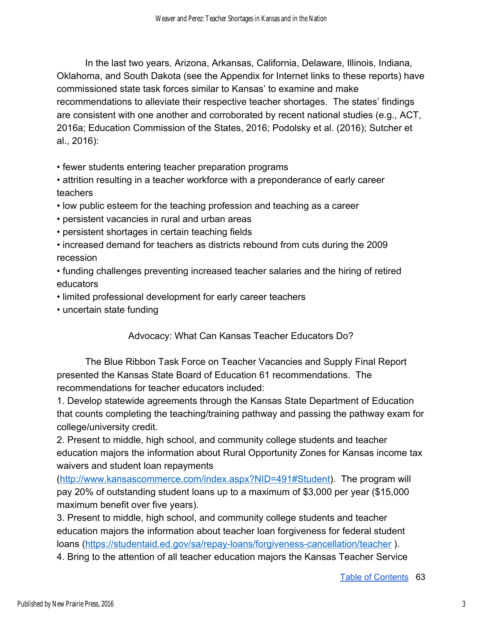In the last two years, Arizona, Arkansas, California, Delaware, Illinois, Indiana, Oklahoma, and South Dakota (see the Appendix for Internet links to these reports) have commissioned state task forces similar to Kansas' to examine and make recommendations to alleviate their respective teacher shortages. The states' findings are consistent with one another and corroborated by recent national studies (e.g., ACT, 2016a; Education Commission of the States, 2016; Podolsky et al. (2016); Sutcher et al., 2016):

• fewer students entering teacher preparation programs

• attrition resulting in a teacher workforce with a preponderance of early career teachers

- low public esteem for the teaching profession and teaching as a career
- persistent vacancies in rural and urban areas
- persistent shortages in certain teaching fields
- increased demand for teachers as districts rebound from cuts during the 2009 recession
- funding challenges preventing increased teacher salaries and the hiring of retired educators
- limited professional development for early career teachers
- uncertain state funding

Advocacy: What Can Kansas Teacher Educators Do?

The Blue Ribbon Task Force on Teacher Vacancies and Supply Final Report presented the Kansas State Board of Education 61 recommendations. The recommendations for teacher educators included:

1. Develop statewide agreements through the Kansas State Department of Education that counts completing the teaching/training pathway and passing the pathway exam for college/university credit.

2. Present to middle, high school, and community college students and teacher education majors the information about Rural Opportunity Zones for Kansas income tax waivers and student loan repayments

([http://www.kansascommerce.com/index.aspx?NID=491#Student\)](http://www.kansascommerce.com/index.aspx?NID=491#Student). The program will pay 20% of outstanding student loans up to a maximum of \$3,000 per year (\$15,000 maximum benefit over five years).

3. Present to middle, high school, and community college students and teacher education majors the information about teacher loan forgiveness for federal student loans (<https://studentaid.ed.gov/sa/repay-loans/forgiveness-cancellation/teacher>).

4. Bring to the attention of all teacher education majors the Kansas Teacher Service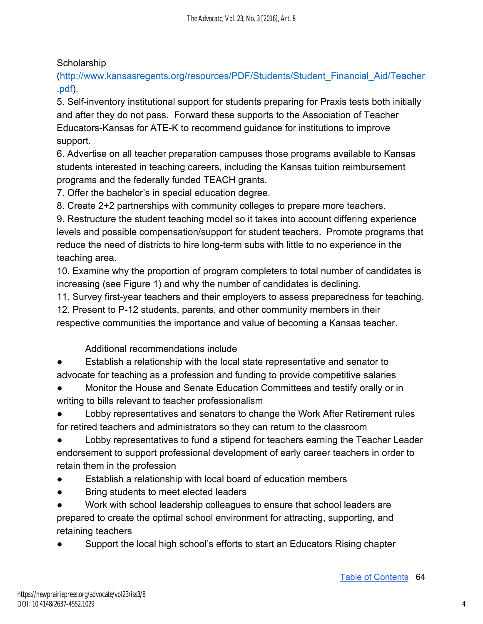# **Scholarship**

([http://www.kansasregents.org/resources/PDF/Students/Student\\_Financial\\_Aid/Teacher](http://www.kansasregents.org/resources/PDF/Students/Student_Financial_Aid/Teacher.pdf) [.pdf](http://www.kansasregents.org/resources/PDF/Students/Student_Financial_Aid/Teacher.pdf)).

5. Self-inventory institutional support for students preparing for Praxis tests both initially and after they do not pass. Forward these supports to the Association of Teacher Educators-Kansas for ATE-K to recommend guidance for institutions to improve support.

6. Advertise on all teacher preparation campuses those programs available to Kansas students interested in teaching careers, including the Kansas tuition reimbursement programs and the federally funded TEACH grants.

7. Offer the bachelor's in special education degree.

8. Create 2+2 partnerships with community colleges to prepare more teachers.

9. Restructure the student teaching model so it takes into account differing experience levels and possible compensation/support for student teachers. Promote programs that reduce the need of districts to hire long-term subs with little to no experience in the teaching area.

10. Examine why the proportion of program completers to total number of candidates is increasing (see Figure 1) and why the number of candidates is declining.

11. Survey first-year teachers and their employers to assess preparedness for teaching. 12. Present to P-12 students, parents, and other community members in their respective communities the importance and value of becoming a Kansas teacher.

Additional recommendations include

Establish a relationship with the local state representative and senator to advocate for teaching as a profession and funding to provide competitive salaries

Monitor the House and Senate Education Committees and testify orally or in writing to bills relevant to teacher professionalism

Lobby representatives and senators to change the Work After Retirement rules for retired teachers and administrators so they can return to the classroom

Lobby representatives to fund a stipend for teachers earning the Teacher Leader endorsement to support professional development of early career teachers in order to retain them in the profession

- Establish a relationship with local board of education members
- Bring students to meet elected leaders

● Work with school leadership colleagues to ensure that school leaders are prepared to create the optimal school environment for attracting, supporting, and retaining teachers

Support the local high school's efforts to start an Educators Rising chapter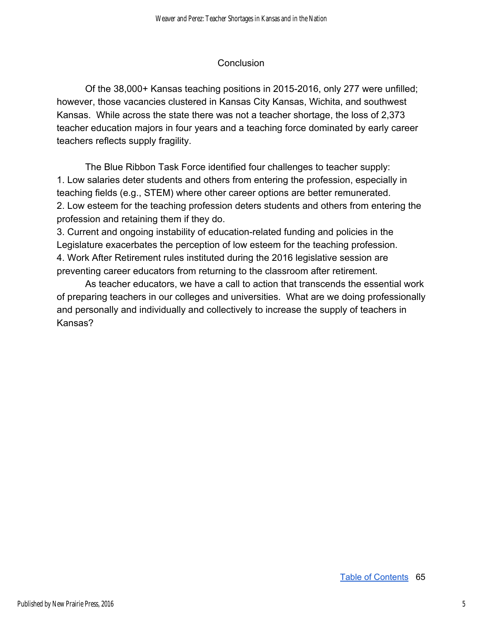#### **Conclusion**

Of the 38,000+ Kansas teaching positions in 2015-2016, only 277 were unfilled; however, those vacancies clustered in Kansas City Kansas, Wichita, and southwest Kansas. While across the state there was not a teacher shortage, the loss of 2,373 teacher education majors in four years and a teaching force dominated by early career teachers reflects supply fragility.

The Blue Ribbon Task Force identified four challenges to teacher supply: 1. Low salaries deter students and others from entering the profession, especially in teaching fields (e.g., STEM) where other career options are better remunerated. 2. Low esteem for the teaching profession deters students and others from entering the profession and retaining them if they do.

3. Current and ongoing instability of education-related funding and policies in the Legislature exacerbates the perception of low esteem for the teaching profession. 4. Work After Retirement rules instituted during the 2016 legislative session are preventing career educators from returning to the classroom after retirement.

As teacher educators, we have a call to action that transcends the essential work of preparing teachers in our colleges and universities. What are we doing professionally and personally and individually and collectively to increase the supply of teachers in Kansas?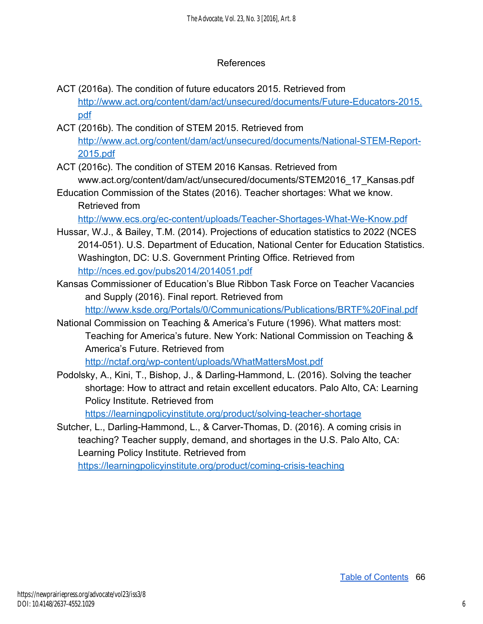### References

- ACT (2016a). The condition of future educators 2015. Retrieved from [http://www.act.org/content/dam/act/unsecured/documents/Future-Educators-2015.](http://www.act.org/content/dam/act/unsecured/documents/Future-Educators-2015.pdf) [pdf](http://www.act.org/content/dam/act/unsecured/documents/Future-Educators-2015.pdf)
- ACT (2016b). The condition of STEM 2015. Retrieved from [http://www.act.org/content/dam/act/unsecured/documents/National-STEM-Report-](http://www.act.org/content/dam/act/unsecured/documents/National-STEM-Report-2015.pdf)[2015.pdf](http://www.act.org/content/dam/act/unsecured/documents/National-STEM-Report-2015.pdf)
- ACT (2016c). The condition of STEM 2016 Kansas. Retrieved from www.act.org/content/dam/act/unsecured/documents/STEM2016\_17\_Kansas.pdf
- Education Commission of the States (2016). Teacher shortages: What we know. Retrieved from

<http://www.ecs.org/ec-content/uploads/Teacher-Shortages-What-We-Know.pdf>

- Hussar, W.J., & Bailey, T.M. (2014). Projections of education statistics to 2022 (NCES 2014-051). U.S. Department of Education, National Center for Education Statistics. Washington, DC: U.S. Government Printing Office. Retrieved from <http://nces.ed.gov/pubs2014/2014051.pdf>
- Kansas Commissioner of Education's Blue Ribbon Task Force on Teacher Vacancies and Supply (2016). Final report. Retrieved from

<http://www.ksde.org/Portals/0/Communications/Publications/BRTF%20Final.pdf>

National Commission on Teaching & America's Future (1996). What matters most: Teaching for America's future. New York: National Commission on Teaching & America's Future. Retrieved from

<http://nctaf.org/wp-content/uploads/WhatMattersMost.pdf>

Podolsky, A., Kini, T., Bishop, J., & Darling-Hammond, L. (2016). Solving the teacher shortage: How to attract and retain excellent educators. Palo Alto, CA: Learning Policy Institute. Retrieved from

<https://learningpolicyinstitute.org/product/solving-teacher-shortage>

Sutcher, L., Darling-Hammond, L., & Carver-Thomas, D. (2016). A coming crisis in teaching? Teacher supply, demand, and shortages in the U.S. Palo Alto, CA: Learning Policy Institute. Retrieved from <https://learningpolicyinstitute.org/product/coming-crisis-teaching>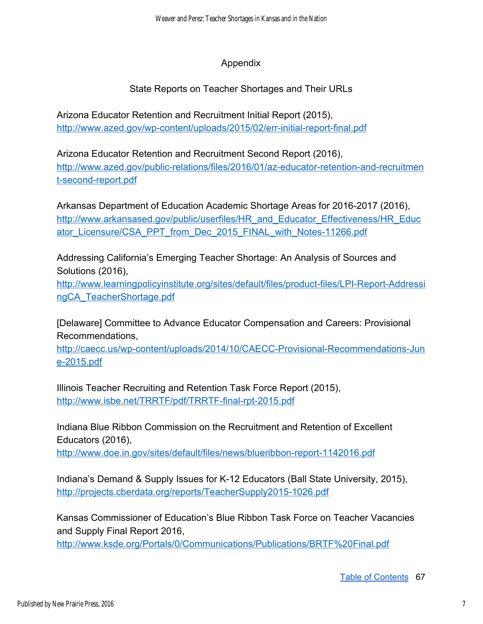# Appendix

# State Reports on Teacher Shortages and Their URLs

Arizona Educator Retention and Recruitment Initial Report (2015), <http://www.azed.gov/wp-content/uploads/2015/02/err-initial-report-final.pdf>

Arizona Educator Retention and Recruitment Second Report (2016), [http://www.azed.gov/public-relations/files/2016/01/az-educator-retention-and-recruitmen](http://www.azed.gov/public-relations/files/2016/01/az-educator-retention-and-recruitment-second-report.pdf) [t-second-report.pdf](http://www.azed.gov/public-relations/files/2016/01/az-educator-retention-and-recruitment-second-report.pdf)

Arkansas Department of Education Academic Shortage Areas for 2016-2017 (2016), [http://www.arkansased.gov/public/userfiles/HR\\_and\\_Educator\\_Effectiveness/HR\\_Educ](http://www.arkansased.gov/public/userfiles/HR_and_Educator_Effectiveness/HR_Educator_Licensure/CSA_PPT_from_Dec_2015_FINAL_with_Notes-11266.pdf) ator\_Licensure/CSA\_PPT\_from\_Dec\_2015\_FINAL\_with\_Notes-11266.pdf

Addressing California's Emerging Teacher Shortage: An Analysis of Sources and Solutions (2016),

[http://www.learningpolicyinstitute.org/sites/default/files/product-files/LPI-Report-Addressi](http://www.learningpolicyinstitute.org/sites/default/files/product-files/LPI-Report-AddressingCA_TeacherShortage.pdf) [ngCA\\_TeacherShortage.pdf](http://www.learningpolicyinstitute.org/sites/default/files/product-files/LPI-Report-AddressingCA_TeacherShortage.pdf) 

[Delaware] Committee to Advance Educator Compensation and Careers: Provisional Recommendations,

[http://caecc.us/wp-content/uploads/2014/10/CAECC-Provisional-Recommendations-Jun](http://caecc.us/wp-content/uploads/2014/10/CAECC-Provisional-Recommendations-June-2015.pdf) [e-2015.pdf](http://caecc.us/wp-content/uploads/2014/10/CAECC-Provisional-Recommendations-June-2015.pdf) 

Illinois Teacher Recruiting and Retention Task Force Report (2015), <http://www.isbe.net/TRRTF/pdf/TRRTF-final-rpt-2015.pdf>

Indiana Blue Ribbon Commission on the Recruitment and Retention of Excellent Educators (2016),

<http://www.doe.in.gov/sites/default/files/news/blueribbon-report-1142016.pdf>

Indiana's Demand & Supply Issues for K-12 Educators (Ball State University, 2015), <http://projects.cberdata.org/reports/TeacherSupply2015-1026.pdf>

Kansas Commissioner of Education's Blue Ribbon Task Force on Teacher Vacancies and Supply Final Report 2016,

<http://www.ksde.org/Portals/0/Communications/Publications/BRTF%20Final.pdf>

Table of Contents 67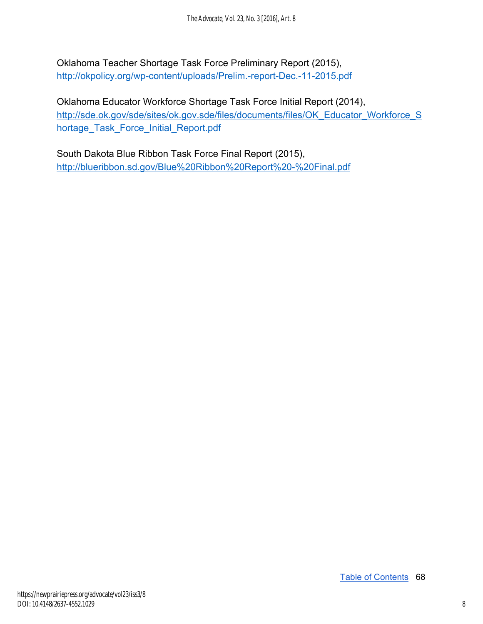Oklahoma Teacher Shortage Task Force Preliminary Report (2015), <http://okpolicy.org/wp-content/uploads/Prelim.-report-Dec.-11-2015.pdf>

Oklahoma Educator Workforce Shortage Task Force Initial Report (2014), [http://sde.ok.gov/sde/sites/ok.gov.sde/files/documents/files/OK\\_Educator\\_Workforce\\_S](http://sde.ok.gov/sde/sites/ok.gov.sde/files/documents/files/OK_Educator_Workforce_Shortage_Task_Force_Initial_Report.pdf)\_ hortage\_Task\_Force\_Initial\_Report.pdf

South Dakota Blue Ribbon Task Force Final Report (2015), <http://blueribbon.sd.gov/Blue%20Ribbon%20Report%20-%20Final.pdf>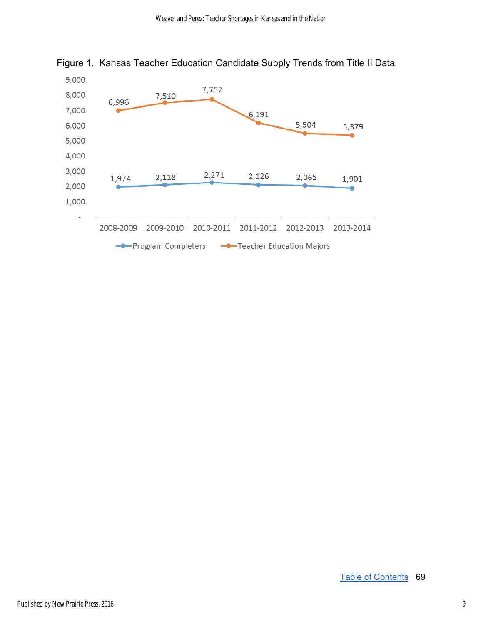

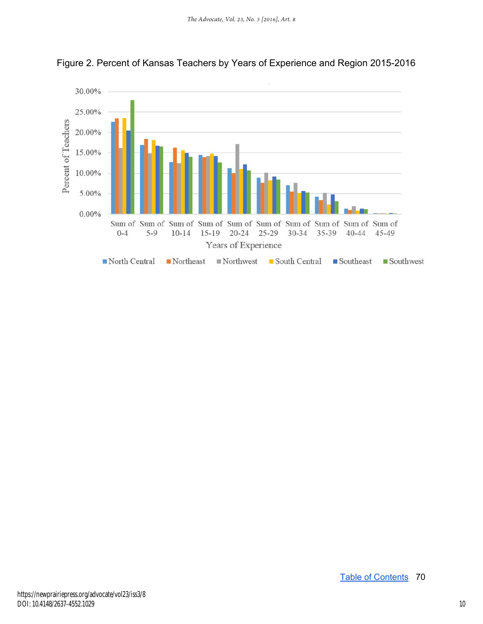